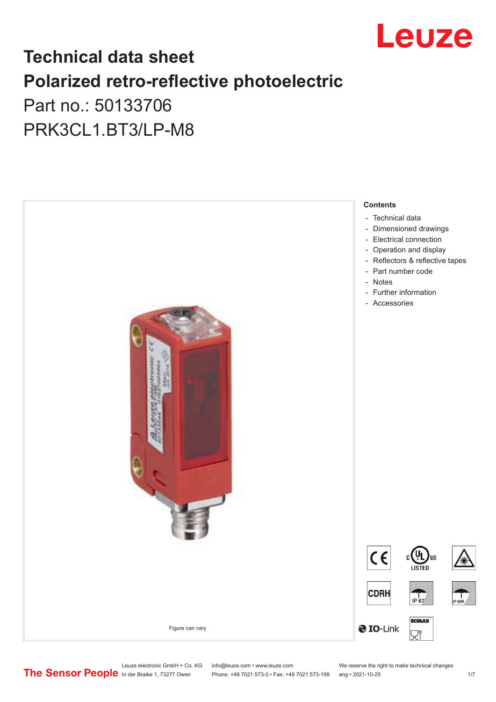

## **Technical data sheet Polarized retro-reflective photoelectric**  Part no.: 50133706

PRK3CL1.BT3/LP-M8



Leuze electronic GmbH + Co. KG info@leuze.com • www.leuze.com We reserve the right to make technical changes<br>
The Sensor People in der Braike 1, 73277 Owen Phone: +49 7021 573-0 • Fax: +49 7021 573-199 eng • 2021-10-25

Phone: +49 7021 573-0 • Fax: +49 7021 573-199 eng • 2021-10-25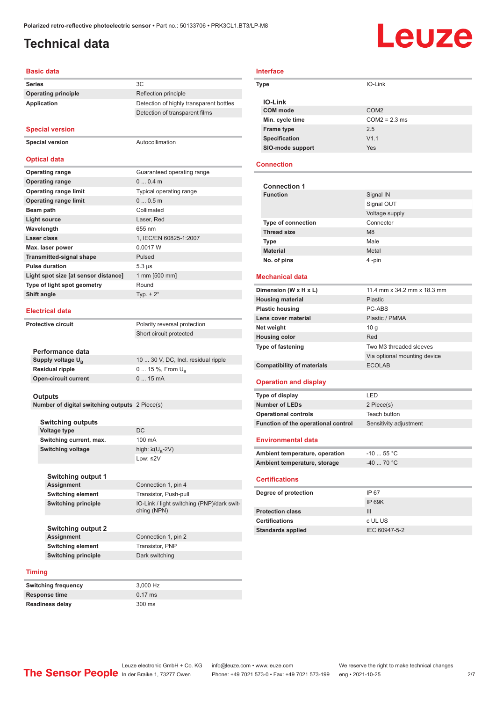**Operating principle** Reflection principle

Detection of highly transparent bottles Detection of transparent films

## <span id="page-1-0"></span>**Technical data**

# Leuze

### **Basic data**

| <b>Series</b>              |    |
|----------------------------|----|
| <b>Operating principle</b> | Re |
| Application                | )e |

### **Special version**

**Special version** Autocollimation

### **Optical data**

| <b>Operating range</b>               | Guaranteed operating range |
|--------------------------------------|----------------------------|
| <b>Operating range</b>               | $00.4$ m                   |
| <b>Operating range limit</b>         | Typical operating range    |
| <b>Operating range limit</b>         | 00.5m                      |
| Beam path                            | Collimated                 |
| Light source                         | Laser, Red                 |
| Wavelength                           | 655 nm                     |
| Laser class                          | 1, IEC/EN 60825-1:2007     |
| Max. laser power                     | 0.0017 W                   |
| <b>Transmitted-signal shape</b>      | Pulsed                     |
| <b>Pulse duration</b>                | $5.3 \,\mu s$              |
| Light spot size [at sensor distance] | 1 mm [500 mm]              |
| Type of light spot geometry          | Round                      |
| Shift angle                          | Typ. $\pm 2^{\circ}$       |
|                                      |                            |

### **Electrical data**

**Performance data Supply voltage U<sub>B</sub>** 

**Open-circuit current** 

**Protective circuit** Polarity reversal protection Short circuit protected

10 ... 30 V, DC, Incl. residual ripple **Residual ripple** 0 ... 15 %, From U<sub>B</sub><br> **Open-circuit current** 0 ... 15 mA

#### **Outputs**

**Number of digital switching outputs** 2 Piece(s)

### **Switching outputs**

**Voltage type** DC **Switching current, max.** 100 mA **Switching voltage** 

high:  $\geq (U_p - 2V)$ Low: ≤2V

**Switching output 1 Assignment** Connection 1, pin 4 **Switching element** Transistor, Push-pull **Switching principle** IO-Link / light switching (PNP)/dark switching (NPN)

**Switching output 2 Assignment** Connection 1, pin 2 **Switching element** Transistor, PNP **Switching principle** Dark switching

### **Timing**

**Switching frequency** 3,000 Hz **Response time** 0.17 ms **Readiness delay** 300 ms

### **Interface**

| Type             | IO-Link          |
|------------------|------------------|
| <b>IO-Link</b>   |                  |
| <b>COM</b> mode  | COM <sub>2</sub> |
| Min. cycle time  | $COM2 = 2.3$ ms  |
| Frame type       | 2.5              |
| Specification    | V1.1             |
| SIO-mode support | <b>Yes</b>       |

### **Connection**

| <b>Connection 1</b>       |                |
|---------------------------|----------------|
| <b>Function</b>           | Signal IN      |
|                           | Signal OUT     |
|                           | Voltage supply |
| <b>Type of connection</b> | Connector      |
| <b>Thread size</b>        | M8             |
| <b>Type</b>               | Male           |
| <b>Material</b>           | Metal          |
| No. of pins               | 4 -pin         |

### **Mechanical data**

| Dimension (W x H x L)             | 11.4 mm x 34.2 mm x 18.3 mm  |
|-----------------------------------|------------------------------|
| <b>Housing material</b>           | Plastic                      |
| <b>Plastic housing</b>            | PC-ABS                       |
| Lens cover material               | Plastic / PMMA               |
| Net weight                        | 10q                          |
| <b>Housing color</b>              | Red                          |
| <b>Type of fastening</b>          | Two M3 threaded sleeves      |
|                                   | Via optional mounting device |
| <b>Compatibility of materials</b> | <b>ECOLAB</b>                |

### **Operation and display**

| Type of display                     | I FD                   |
|-------------------------------------|------------------------|
| <b>Number of LEDs</b>               | 2 Piece(s)             |
| <b>Operational controls</b>         | Teach button           |
| Function of the operational control | Sensitivity adjustment |

### **Environmental data**

| Ambient temperature, operation | $-10$ 55 °C $\,$ |
|--------------------------------|------------------|
| Ambient temperature, storage   | -40  70 °C       |

### **Certifications**

| Degree of protection     | IP 67         |
|--------------------------|---------------|
|                          | IP 69K        |
| <b>Protection class</b>  | Ш             |
| <b>Certifications</b>    | c UL US       |
| <b>Standards applied</b> | IEC 60947-5-2 |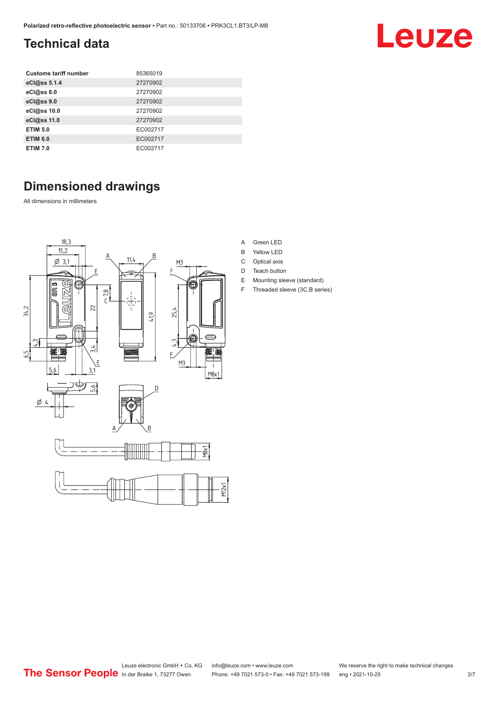## <span id="page-2-0"></span>**Technical data**

| <b>Customs tariff number</b> | 85365019 |
|------------------------------|----------|
| eCl@ss 5.1.4                 | 27270902 |
| eCl@ss 8.0                   | 27270902 |
| eCl@ss 9.0                   | 27270902 |
| eCl@ss 10.0                  | 27270902 |
| eCl@ss 11.0                  | 27270902 |
| <b>ETIM 5.0</b>              | EC002717 |
| <b>ETIM 6.0</b>              | EC002717 |
| <b>ETIM 7.0</b>              | EC002717 |

## **Dimensioned drawings**

All dimensions in millimeters



- A Green LED
- B Yellow LED
- C Optical axis
- D Teach button
- E Mounting sleeve (standard)
- F Threaded sleeve (3C.B series)

**Leuze**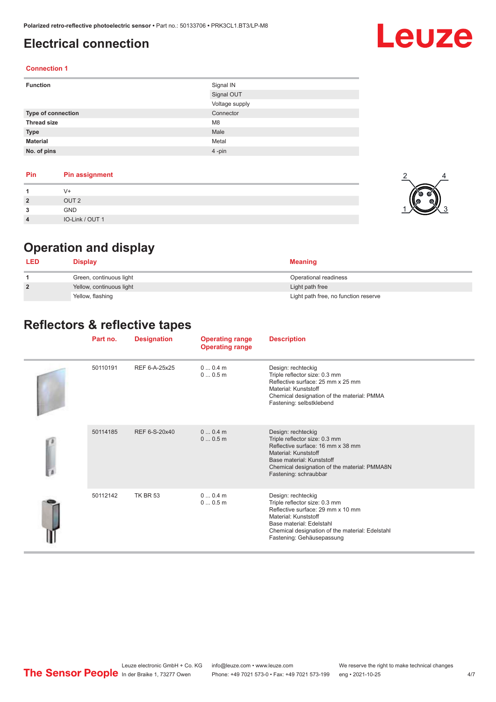## <span id="page-3-0"></span>**Electrical connection**

## Leuze

### **Connection 1**

| <b>Function</b>    | Signal IN      |
|--------------------|----------------|
|                    | Signal OUT     |
|                    | Voltage supply |
| Type of connection | Connector      |
| <b>Thread size</b> | M <sub>8</sub> |
| <b>Type</b>        | Male           |
| <b>Material</b>    | Metal          |
| No. of pins        | $4 - pin$      |

| Pin            | <b>Pin assignment</b> |
|----------------|-----------------------|
|                | V+                    |
| $\overline{2}$ | OUT <sub>2</sub>      |
| 3              | <b>GND</b>            |
| 4              | IO-Link / OUT 1       |



## **Operation and display**

| <b>LED</b>     | <b>Display</b>           | <b>Meaning</b>                       |
|----------------|--------------------------|--------------------------------------|
|                | Green, continuous light  | Operational readiness                |
| $\overline{2}$ | Yellow, continuous light | Light path free                      |
|                | Yellow, flashing         | Light path free, no function reserve |

## **Reflectors & reflective tapes**

|  | Part no. | <b>Designation</b> | <b>Operating range</b><br><b>Operating range</b> | <b>Description</b>                                                                                                                                                                                                           |
|--|----------|--------------------|--------------------------------------------------|------------------------------------------------------------------------------------------------------------------------------------------------------------------------------------------------------------------------------|
|  | 50110191 | REF 6-A-25x25      | $00.4$ m<br>00.5m                                | Design: rechteckig<br>Triple reflector size: 0.3 mm<br>Reflective surface: 25 mm x 25 mm<br>Material: Kunststoff<br>Chemical designation of the material: PMMA<br>Fastening: selbstklebend                                   |
|  | 50114185 | REF 6-S-20x40      | 00.4m<br>00.5m                                   | Design: rechteckig<br>Triple reflector size: 0.3 mm<br>Reflective surface: 16 mm x 38 mm<br>Material: Kunststoff<br>Base material: Kunststoff<br>Chemical designation of the material: PMMA8N<br>Fastening: schraubbar       |
|  | 50112142 | <b>TK BR 53</b>    | $00.4$ m<br>00.5m                                | Design: rechteckig<br>Triple reflector size: 0.3 mm<br>Reflective surface: 29 mm x 10 mm<br>Material: Kunststoff<br>Base material: Edelstahl<br>Chemical designation of the material: Edelstahl<br>Fastening: Gehäusepassung |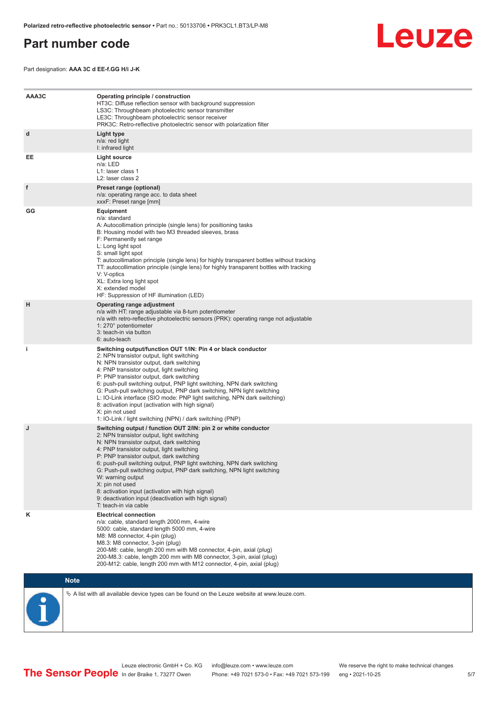## <span id="page-4-0"></span>**Part number code**



Part designation: **AAA 3C d EE-f.GG H/i J-K**

| AAA3C | Operating principle / construction<br>HT3C: Diffuse reflection sensor with background suppression<br>LS3C: Throughbeam photoelectric sensor transmitter<br>LE3C: Throughbeam photoelectric sensor receiver<br>PRK3C: Retro-reflective photoelectric sensor with polarization filter                                                                                                                                                                                                                                                                                                                                 |
|-------|---------------------------------------------------------------------------------------------------------------------------------------------------------------------------------------------------------------------------------------------------------------------------------------------------------------------------------------------------------------------------------------------------------------------------------------------------------------------------------------------------------------------------------------------------------------------------------------------------------------------|
| d     | Light type<br>n/a: red light<br>I: infrared light                                                                                                                                                                                                                                                                                                                                                                                                                                                                                                                                                                   |
| EE.   | Light source<br>n/a: LED<br>L1: laser class 1<br>L <sub>2</sub> : laser class 2                                                                                                                                                                                                                                                                                                                                                                                                                                                                                                                                     |
| f     | Preset range (optional)<br>n/a: operating range acc. to data sheet<br>xxxF: Preset range [mm]                                                                                                                                                                                                                                                                                                                                                                                                                                                                                                                       |
| GG    | Equipment<br>n/a: standard<br>A: Autocollimation principle (single lens) for positioning tasks<br>B: Housing model with two M3 threaded sleeves, brass<br>F: Permanently set range<br>L: Long light spot<br>S: small light spot<br>T: autocollimation principle (single lens) for highly transparent bottles without tracking<br>TT: autocollimation principle (single lens) for highly transparent bottles with tracking<br>V: V-optics<br>XL: Extra long light spot<br>X: extended model<br>HF: Suppression of HF illumination (LED)                                                                              |
| н     | Operating range adjustment<br>n/a with HT: range adjustable via 8-turn potentiometer<br>n/a with retro-reflective photoelectric sensors (PRK): operating range not adjustable<br>1: 270° potentiometer<br>3: teach-in via button<br>6: auto-teach                                                                                                                                                                                                                                                                                                                                                                   |
| j.    | Switching output/function OUT 1/IN: Pin 4 or black conductor<br>2: NPN transistor output, light switching<br>N: NPN transistor output, dark switching<br>4: PNP transistor output, light switching<br>P: PNP transistor output, dark switching<br>6: push-pull switching output, PNP light switching, NPN dark switching<br>G: Push-pull switching output, PNP dark switching, NPN light switching<br>L: IO-Link interface (SIO mode: PNP light switching, NPN dark switching)<br>8: activation input (activation with high signal)<br>X: pin not used<br>1: IO-Link / light switching (NPN) / dark switching (PNP) |
| J     | Switching output / function OUT 2/IN: pin 2 or white conductor<br>2: NPN transistor output, light switching<br>N: NPN transistor output, dark switching<br>4: PNP transistor output, light switching<br>P: PNP transistor output, dark switching<br>6: push-pull switching output, PNP light switching, NPN dark switching<br>G: Push-pull switching output, PNP dark switching, NPN light switching<br>W: warning output<br>X: pin not used<br>8: activation input (activation with high signal)<br>9: deactivation input (deactivation with high signal)<br>T: teach-in via cable                                 |
| κ     | <b>Electrical connection</b><br>n/a: cable, standard length 2000 mm, 4-wire<br>5000: cable, standard length 5000 mm, 4-wire<br>M8: M8 connector, 4-pin (plug)<br>M8.3: M8 connector, 3-pin (plug)<br>200-M8: cable, length 200 mm with M8 connector, 4-pin, axial (plug)<br>200-M8.3: cable, length 200 mm with M8 connector, 3-pin, axial (plug)<br>200-M12: cable, length 200 mm with M12 connector, 4-pin, axial (plug)                                                                                                                                                                                          |

## **Note**

 $\%$  A list with all available device types can be found on the Leuze website at www.leuze.com.

5/7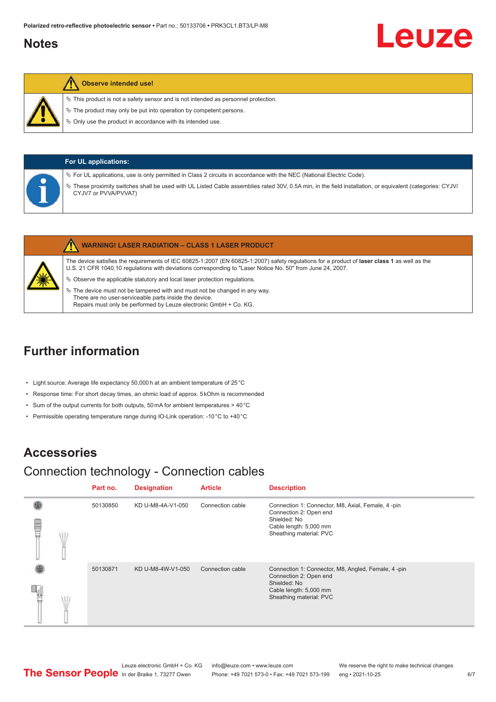## <span id="page-5-0"></span>**Notes**

### **Observe intended use!**

- $\%$  This product is not a safety sensor and is not intended as personnel protection.
- $\%$  The product may only be put into operation by competent persons.
- $\%$  Only use the product in accordance with its intended use.

| <b>For UL applications:</b> |                                                                                                                                                                                                                                                                                                                  |  |  |  |  |
|-----------------------------|------------------------------------------------------------------------------------------------------------------------------------------------------------------------------------------------------------------------------------------------------------------------------------------------------------------|--|--|--|--|
|                             | $\%$ For UL applications, use is only permitted in Class 2 circuits in accordance with the NEC (National Electric Code).<br>These proximity switches shall be used with UL Listed Cable assemblies rated 30V, 0.5A min, in the field installation, or equivalent (categories: CYJV/<br>₩<br>CYJV7 or PVVA/PVVA7) |  |  |  |  |

|   | <b>WARNING! LASER RADIATION - CLASS 1 LASER PRODUCT</b>                                                                                                                                                                                                           |
|---|-------------------------------------------------------------------------------------------------------------------------------------------------------------------------------------------------------------------------------------------------------------------|
|   | The device satisfies the requirements of IEC 60825-1:2007 (EN 60825-1:2007) safety requiations for a product of <b>laser class 1</b> as well as the<br>U.S. 21 CFR 1040.10 regulations with deviations corresponding to "Laser Notice No. 50" from June 24, 2007. |
| 纂 | $\&$ Observe the applicable statutory and local laser protection regulations.                                                                                                                                                                                     |
|   | $\%$ The device must not be tampered with and must not be changed in any way.                                                                                                                                                                                     |
|   | There are no user-serviceable parts inside the device.                                                                                                                                                                                                            |
|   | Repairs must only be performed by Leuze electronic GmbH + Co. KG.                                                                                                                                                                                                 |

## **Further information**

- Light source: Average life expectancy 50,000 h at an ambient temperature of 25 °C
- Response time: For short decay times, an ohmic load of approx. 5 kOhm is recommended
- Sum of the output currents for both outputs, 50 mA for ambient temperatures > 40 °C
- Permissible operating temperature range during IO-Link operation: -10 °C to +40 °C

## **Accessories**

## Connection technology - Connection cables

|  | Part no. | <b>Designation</b> | <b>Article</b>   | <b>Description</b>                                                                                                                                |
|--|----------|--------------------|------------------|---------------------------------------------------------------------------------------------------------------------------------------------------|
|  | 50130850 | KD U-M8-4A-V1-050  | Connection cable | Connection 1: Connector, M8, Axial, Female, 4-pin<br>Connection 2: Open end<br>Shielded: No<br>Cable length: 5,000 mm<br>Sheathing material: PVC  |
|  | 50130871 | KD U-M8-4W-V1-050  | Connection cable | Connection 1: Connector, M8, Angled, Female, 4-pin<br>Connection 2: Open end<br>Shielded: No<br>Cable length: 5,000 mm<br>Sheathing material: PVC |

Leuze